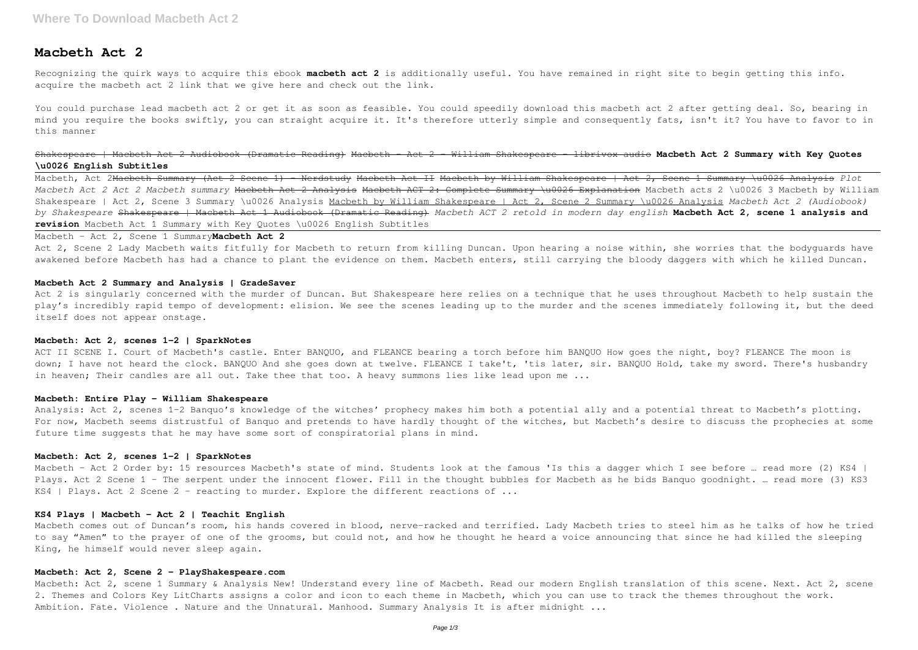# **Macbeth Act 2**

Recognizing the quirk ways to acquire this ebook **macbeth act 2** is additionally useful. You have remained in right site to begin getting this info. acquire the macbeth act 2 link that we give here and check out the link.

You could purchase lead macbeth act 2 or get it as soon as feasible. You could speedily download this macbeth act 2 after getting deal. So, bearing in mind you require the books swiftly, you can straight acquire it. It's therefore utterly simple and consequently fats, isn't it? You have to favor to in this manner

Shakespeare | Macbeth Act 2 Audiobook (Dramatic Reading) Macbeth - Act 2 - William Shakespeare - librivox audio **Macbeth Act 2 Summary with Key Quotes \u0026 English Subtitles**

Macbeth, Act 2Macbeth Summary (Act 2 Scene 1) - Nerdstudy Macbeth Act II Macbeth by William Shakespeare | Act 2, Scene 1 Summary \u0026 Analysis *Plot Macbeth Act 2 Act 2 Macbeth summary* Macbeth Act 2 Analysis Macbeth ACT 2: Complete Summary \u0026 Explanation Macbeth acts 2 \u0026 3 Macbeth by William Shakespeare | Act 2, Scene 3 Summary \u0026 Analysis Macbeth by William Shakespeare | Act 2, Scene 2 Summary \u0026 Analysis *Macbeth Act 2 (Audiobook) by Shakespeare* Shakespeare | Macbeth Act 1 Audiobook (Dramatic Reading) *Macbeth ACT 2 retold in modern day english* **Macbeth Act 2, scene 1 analysis and revision** Macbeth Act 1 Summary with Key Quotes \u0026 English Subtitles

ACT II SCENE I. Court of Macbeth's castle. Enter BANQUO, and FLEANCE bearing a torch before him BANQUO How goes the night, boy? FLEANCE The moon is down; I have not heard the clock. BANQUO And she goes down at twelve. FLEANCE I take't, 'tis later, sir. BANQUO Hold, take my sword. There's husbandry in heaven; Their candles are all out. Take thee that too. A heavy summons lies like lead upon me ...

# Macbeth - Act 2, Scene 1 Summary**Macbeth Act 2**

Act 2, Scene 2 Lady Macbeth waits fitfully for Macbeth to return from killing Duncan. Upon hearing a noise within, she worries that the bodyguards have awakened before Macbeth has had a chance to plant the evidence on them. Macbeth enters, still carrying the bloody daggers with which he killed Duncan.

# **Macbeth Act 2 Summary and Analysis | GradeSaver**

Act 2 is singularly concerned with the murder of Duncan. But Shakespeare here relies on a technique that he uses throughout Macbeth to help sustain the play's incredibly rapid tempo of development: elision. We see the scenes leading up to the murder and the scenes immediately following it, but the deed itself does not appear onstage.

#### **Macbeth: Act 2, scenes 1–2 | SparkNotes**

#### **Macbeth: Entire Play - William Shakespeare**

Analysis: Act 2, scenes 1–2 Banquo's knowledge of the witches' prophecy makes him both a potential ally and a potential threat to Macbeth's plotting. For now, Macbeth seems distrustful of Banquo and pretends to have hardly thought of the witches, but Macbeth's desire to discuss the prophecies at some future time suggests that he may have some sort of conspiratorial plans in mind.

#### **Macbeth: Act 2, scenes 1–2 | SparkNotes**

Macbeth - Act 2 Order by: 15 resources Macbeth's state of mind. Students look at the famous 'Is this a dagger which I see before ... read more (2) KS4 | Plays. Act 2 Scene 1 - The serpent under the innocent flower. Fill in the thought bubbles for Macbeth as he bids Banquo goodnight. ... read more (3) KS3 KS4 | Plays. Act 2 Scene 2 - reacting to murder. Explore the different reactions of  $\ldots$ 

# **KS4 Plays | Macbeth - Act 2 | Teachit English**

Macbeth comes out of Duncan's room, his hands covered in blood, nerve-racked and terrified. Lady Macbeth tries to steel him as he talks of how he tried to say "Amen" to the prayer of one of the grooms, but could not, and how he thought he heard a voice announcing that since he had killed the sleeping King, he himself would never sleep again.

# **Macbeth: Act 2, Scene 2 - PlayShakespeare.com**

Macbeth: Act 2, scene 1 Summary & Analysis New! Understand every line of Macbeth. Read our modern English translation of this scene. Next. Act 2, scene 2. Themes and Colors Key LitCharts assigns a color and icon to each theme in Macbeth, which you can use to track the themes throughout the work. Ambition. Fate. Violence . Nature and the Unnatural. Manhood. Summary Analysis It is after midnight ...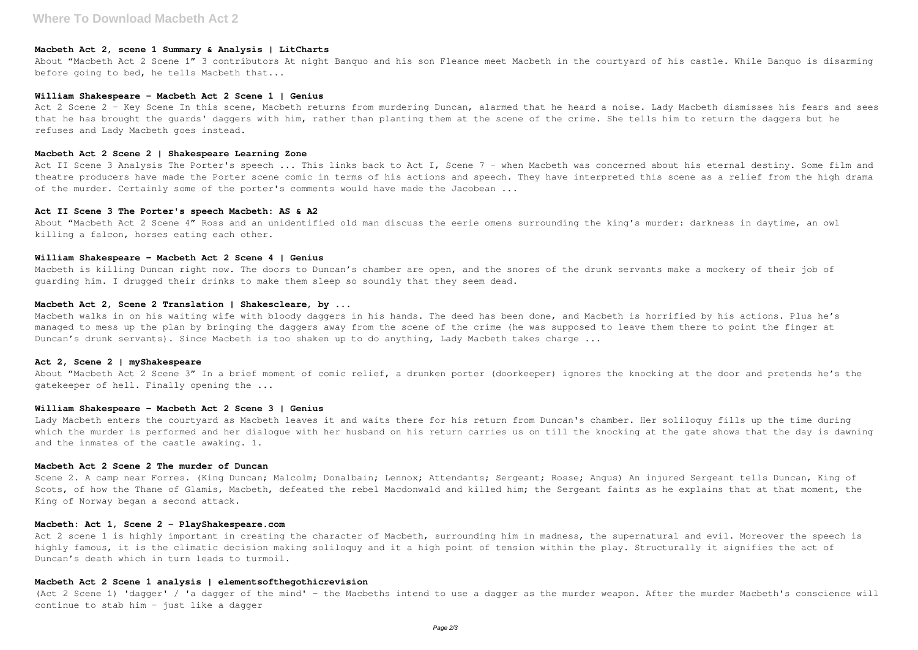#### **Macbeth Act 2, scene 1 Summary & Analysis | LitCharts**

About "Macbeth Act 2 Scene 1" 3 contributors At night Banquo and his son Fleance meet Macbeth in the courtyard of his castle. While Banquo is disarming before going to bed, he tells Macbeth that...

#### **William Shakespeare – Macbeth Act 2 Scene 1 | Genius**

Act 2 Scene 2 - Key Scene In this scene, Macbeth returns from murdering Duncan, alarmed that he heard a noise. Lady Macbeth dismisses his fears and sees that he has brought the guards' daggers with him, rather than planting them at the scene of the crime. She tells him to return the daggers but he refuses and Lady Macbeth goes instead.

About "Macbeth Act 2 Scene 4" Ross and an unidentified old man discuss the eerie omens surrounding the king's murder: darkness in daytime, an owl killing a falcon, horses eating each other.

#### **Macbeth Act 2 Scene 2 | Shakespeare Learning Zone**

Act II Scene 3 Analysis The Porter's speech ... This links back to Act I, Scene 7 - when Macbeth was concerned about his eternal destiny. Some film and theatre producers have made the Porter scene comic in terms of his actions and speech. They have interpreted this scene as a relief from the high drama of the murder. Certainly some of the porter's comments would have made the Jacobean ...

Macbeth is killing Duncan right now. The doors to Duncan's chamber are open, and the snores of the drunk servants make a mockery of their job of guarding him. I drugged their drinks to make them sleep so soundly that they seem dead.

# **Act II Scene 3 The Porter's speech Macbeth: AS & A2**

# **William Shakespeare – Macbeth Act 2 Scene 4 | Genius**

Scene 2. A camp near Forres. (King Duncan; Malcolm; Donalbain; Lennox; Attendants; Sergeant; Rosse; Angus) An injured Sergeant tells Duncan, King of Scots, of how the Thane of Glamis, Macbeth, defeated the rebel Macdonwald and killed him; the Sergeant faints as he explains that at that moment, the King of Norway began a second attack.

#### **Macbeth Act 2, Scene 2 Translation | Shakescleare, by ...**

Act 2 scene 1 is highly important in creating the character of Macbeth, surrounding him in madness, the supernatural and evil. Moreover the speech is highly famous, it is the climatic decision making soliloquy and it a high point of tension within the play. Structurally it signifies the act of Duncan's death which in turn leads to turmoil.

(Act 2 Scene 1) 'dagger' / 'a dagger of the mind' - the Macbeths intend to use a dagger as the murder weapon. After the murder Macbeth's conscience will continue to stab him - just like a dagger

Macbeth walks in on his waiting wife with bloody daggers in his hands. The deed has been done, and Macbeth is horrified by his actions. Plus he's managed to mess up the plan by bringing the daggers away from the scene of the crime (he was supposed to leave them there to point the finger at Duncan's drunk servants). Since Macbeth is too shaken up to do anything, Lady Macbeth takes charge ...

#### **Act 2, Scene 2 | myShakespeare**

About "Macbeth Act 2 Scene 3" In a brief moment of comic relief, a drunken porter (doorkeeper) ignores the knocking at the door and pretends he's the gatekeeper of hell. Finally opening the ...

#### **William Shakespeare – Macbeth Act 2 Scene 3 | Genius**

Lady Macbeth enters the courtyard as Macbeth leaves it and waits there for his return from Duncan's chamber. Her soliloquy fills up the time during which the murder is performed and her dialogue with her husband on his return carries us on till the knocking at the gate shows that the day is dawning and the inmates of the castle awaking. 1.

# **Macbeth Act 2 Scene 2 The murder of Duncan**

# **Macbeth: Act 1, Scene 2 - PlayShakespeare.com**

### **Macbeth Act 2 Scene 1 analysis | elementsofthegothicrevision**